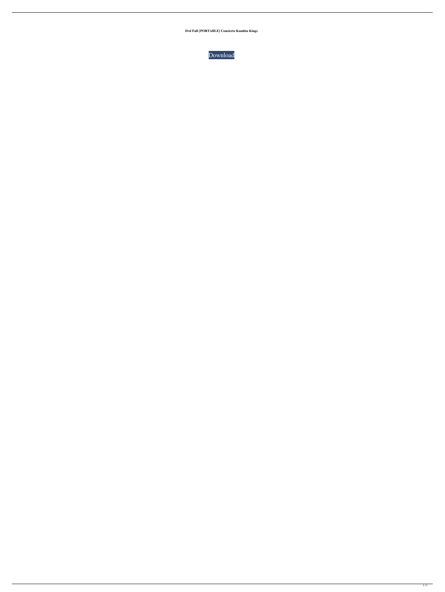**Dvd Full [PORTABLE] Concierto Kumbia Kings**